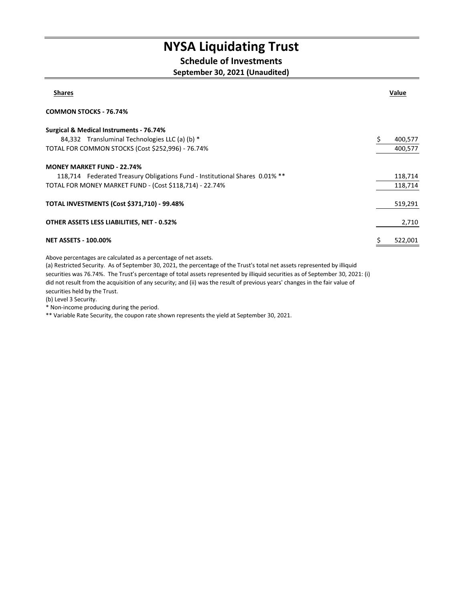## NYSA Liquidating Trust

### Schedule of Investments

#### September 30, 2021 (Unaudited)

| <b>Shares</b>                                                               | Value   |
|-----------------------------------------------------------------------------|---------|
| <b>COMMON STOCKS - 76.74%</b>                                               |         |
| <b>Surgical &amp; Medical Instruments - 76.74%</b>                          |         |
| 84,332 Transluminal Technologies LLC (a) (b) *                              | 400,577 |
| TOTAL FOR COMMON STOCKS (Cost \$252,996) - 76.74%                           | 400,577 |
| <b>MONEY MARKET FUND - 22.74%</b>                                           |         |
| 118,714 Federated Treasury Obligations Fund - Institutional Shares 0.01% ** | 118,714 |
| TOTAL FOR MONEY MARKET FUND - (Cost \$118,714) - 22.74%                     | 118,714 |
| <b>TOTAL INVESTMENTS (Cost \$371,710) - 99.48%</b>                          | 519,291 |
| OTHER ASSETS LESS LIABILITIES, NET - 0.52%                                  | 2,710   |
| <b>NET ASSETS - 100.00%</b>                                                 | 522,001 |

Above percentages are calculated as a percentage of net assets.

(a) Restricted Security. As of September 30, 2021, the percentage of the Trust's total net assets represented by illiquid securities was 76.74%. The Trust's percentage of total assets represented by illiquid securities as of September 30, 2021: (i) did not result from the acquisition of any security; and (ii) was the result of previous years' changes in the fair value of

securities held by the Trust.

(b) Level 3 Security.

\* Non-income producing during the period.

\*\* Variable Rate Security, the coupon rate shown represents the yield at September 30, 2021.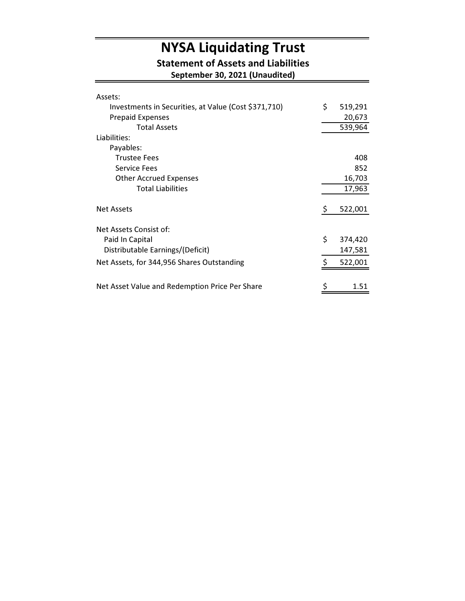# NYSA Liquidating Trust

#### Statement of Assets and Liabilities

September 30, 2021 (Unaudited)

| Assets:                                              |               |
|------------------------------------------------------|---------------|
| Investments in Securities, at Value (Cost \$371,710) | \$<br>519,291 |
| <b>Prepaid Expenses</b>                              | 20,673        |
| <b>Total Assets</b>                                  | 539,964       |
| Liabilities:                                         |               |
| Payables:                                            |               |
| <b>Trustee Fees</b>                                  | 408           |
| Service Fees                                         | 852           |
| <b>Other Accrued Expenses</b>                        | 16,703        |
| <b>Total Liabilities</b>                             | 17,963        |
| <b>Net Assets</b>                                    | \$<br>522,001 |
| Net Assets Consist of:                               |               |
| Paid In Capital                                      | \$<br>374,420 |
| Distributable Earnings/(Deficit)                     | 147,581       |
| Net Assets, for 344,956 Shares Outstanding           | \$<br>522,001 |
|                                                      |               |
| Net Asset Value and Redemption Price Per Share       | \$<br>1.51    |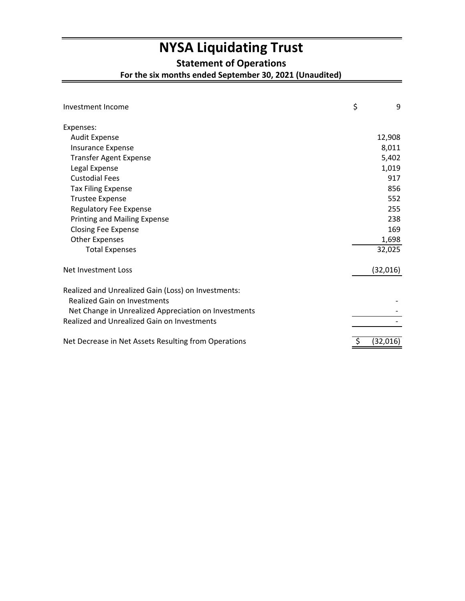## **NYSA Liquidating Trust**

**Statement of Operations**

**For the six months ended September 30, 2021 (Unaudited)**

| Investment Income                                    | \$<br>9  |
|------------------------------------------------------|----------|
| Expenses:                                            |          |
| Audit Expense                                        | 12,908   |
| <b>Insurance Expense</b>                             | 8,011    |
| <b>Transfer Agent Expense</b>                        | 5,402    |
| Legal Expense                                        | 1,019    |
| <b>Custodial Fees</b>                                | 917      |
| <b>Tax Filing Expense</b>                            | 856      |
| <b>Trustee Expense</b>                               | 552      |
| Regulatory Fee Expense                               | 255      |
| <b>Printing and Mailing Expense</b>                  | 238      |
| <b>Closing Fee Expense</b>                           | 169      |
| <b>Other Expenses</b>                                | 1,698    |
| <b>Total Expenses</b>                                | 32,025   |
| Net Investment Loss                                  | (32,016) |
| Realized and Unrealized Gain (Loss) on Investments:  |          |
| <b>Realized Gain on Investments</b>                  |          |
| Net Change in Unrealized Appreciation on Investments |          |
| Realized and Unrealized Gain on Investments          |          |
| Net Decrease in Net Assets Resulting from Operations | (32,016) |